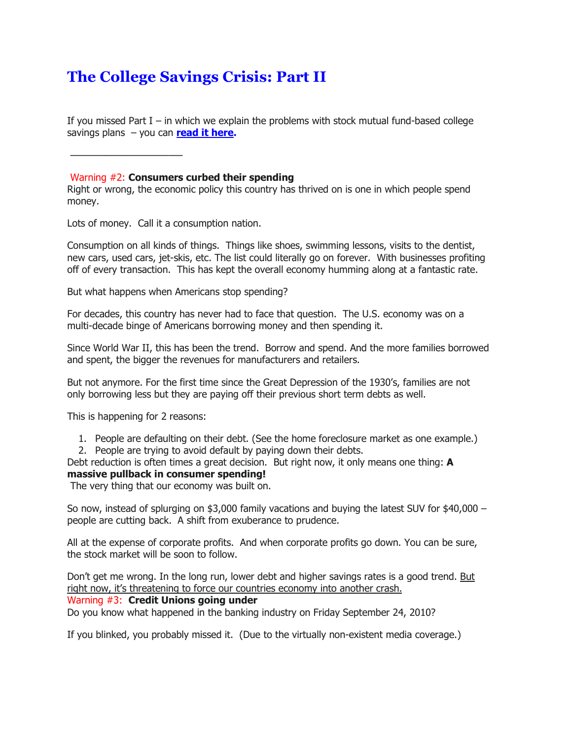# **The College Savings Crisis: Part II**

If you missed Part  $I - in$  which we explain the problems with stock mutual fund-based college savings plans – you can **[read it here.](http://sitebuilder.myregisteredsite.com/sitebuilder/pageid:id65)**

————————————–

#### Warning #2: **Consumers curbed their spending**

Right or wrong, the economic policy this country has thrived on is one in which people spend money.

Lots of money. Call it a consumption nation.

Consumption on all kinds of things. Things like shoes, swimming lessons, visits to the dentist, new cars, used cars, jet-skis, etc. The list could literally go on forever. With businesses profiting off of every transaction. This has kept the overall economy humming along at a fantastic rate.

But what happens when Americans stop spending?

For decades, this country has never had to face that question. The U.S. economy was on a multi-decade binge of Americans borrowing money and then spending it.

Since World War II, this has been the trend. Borrow and spend. And the more families borrowed and spent, the bigger the revenues for manufacturers and retailers.

But not anymore. For the first time since the Great Depression of the 1930's, families are not only borrowing less but they are paying off their previous short term debts as well.

This is happening for 2 reasons:

- 1. People are defaulting on their debt. (See the home foreclosure market as one example.) 2. People are trying to avoid default by paying down their debts.
- Debt reduction is often times a great decision. But right now, it only means one thing: **A**

## **massive pullback in consumer spending!**

The very thing that our economy was built on.

So now, instead of splurging on \$3,000 family vacations and buying the latest SUV for \$40,000 – people are cutting back. A shift from exuberance to prudence.

All at the expense of corporate profits. And when corporate profits go down. You can be sure, the stock market will be soon to follow.

Don't get me wrong. In the long run, lower debt and higher savings rates is a good trend. But right now, it's threatening to force our countries economy into another crash.

## Warning #3: **Credit Unions going under**

Do you know what happened in the banking industry on Friday September 24, 2010?

If you blinked, you probably missed it. (Due to the virtually non-existent media coverage.)